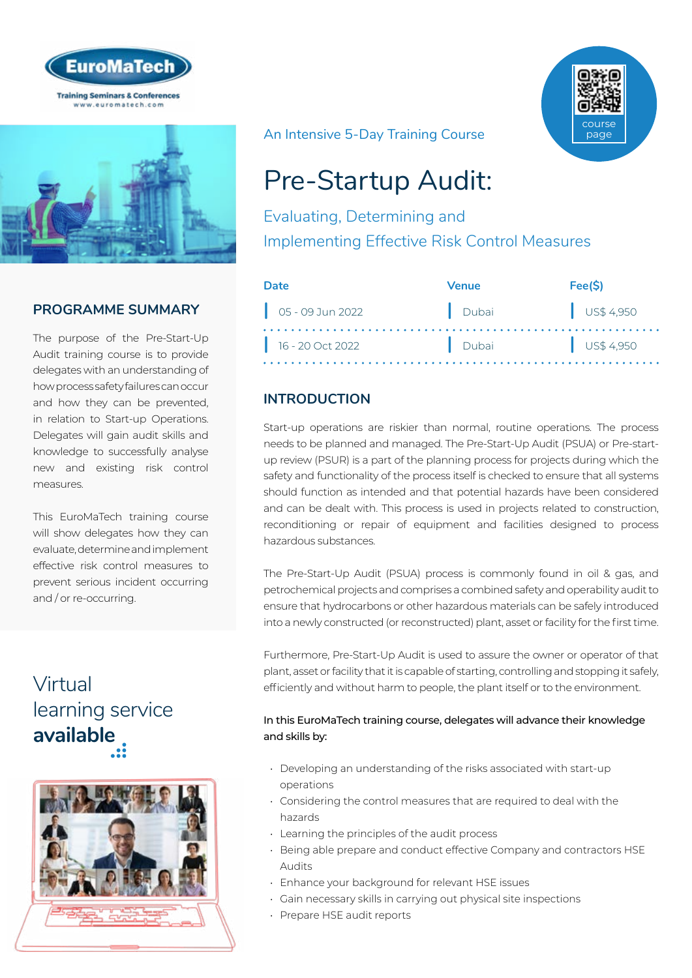



## **PROGRAMME SUMMARY**

The purpose of the Pre-Start-Up Audit training course is to provide delegates with an understanding of how process safety failures can occur and how they can be prevented, in relation to Start-up Operations. Delegates will gain audit skills and knowledge to successfully analyse new and existing risk control measures.

This EuroMaTech training course will show delegates how they can evaluate, determine and implement effective risk control measures to prevent serious incident occurring and / or re-occurring.

# Virtual [learning service](https://www.euromatech.com/seminars/pre-startup-audit-evaluating-determining-and-implementing-effective-risk-control-measures/)  **available**



An Intensive 5-Day Training Course



# Pre-Startup Audit:

Evaluating, Determining and Implementing Effective Risk Control Measures

| Date                           | Venue | Fee(S)               |
|--------------------------------|-------|----------------------|
| $\bigcup_{1}$ 05 - 09 Jun 2022 | Dubai | $\bigcup$ US\$ 4,950 |
| $16 - 20$ Oct 2022             | Dubai | US\$4,950            |

## **INTRODUCTION**

Start-up operations are riskier than normal, routine operations. The process needs to be planned and managed. The Pre-Start-Up Audit (PSUA) or Pre-startup review (PSUR) is a part of the planning process for projects during which the safety and functionality of the process itself is checked to ensure that all systems should function as intended and that potential hazards have been considered and can be dealt with. This process is used in projects related to construction, reconditioning or repair of equipment and facilities designed to process hazardous substances.

The Pre-Start-Up Audit (PSUA) process is commonly found in oil & gas, and petrochemical projects and comprises a combined safety and operability audit to ensure that hydrocarbons or other hazardous materials can be safely introduced into a newly constructed (or reconstructed) plant, asset or facility for the first time.

Furthermore, Pre-Start-Up Audit is used to assure the owner or operator of that plant, asset or facility that it is capable of starting, controlling and stopping it safely, efficiently and without harm to people, the plant itself or to the environment.

#### In this EuroMaTech training course, delegates will advance their knowledge and skills by:

- Developing an understanding of the risks associated with start-up operations
- Considering the control measures that are required to deal with the hazards
- Learning the principles of the audit process
- Being able prepare and conduct effective Company and contractors HSE Audits
- Enhance your background for relevant HSE issues
- Gain necessary skills in carrying out physical site inspections
- Prepare HSE audit reports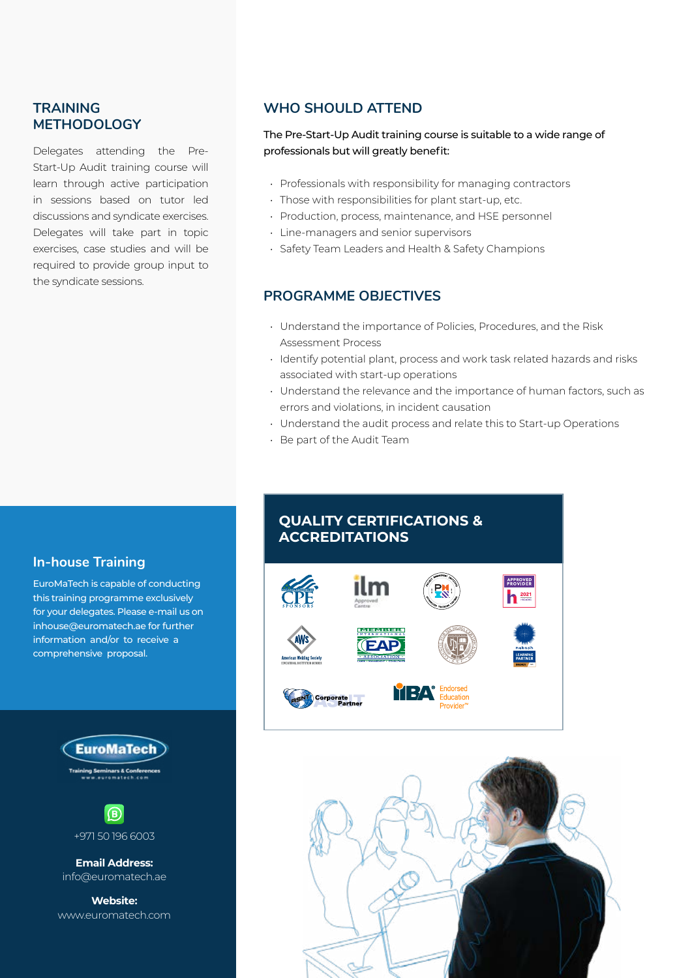#### **TRAINING METHODOLOGY**

Delegates attending the Pre-Start-Up Audit training course will learn through active participation in sessions based on tutor led discussions and syndicate exercises. Delegates will take part in topic exercises, case studies and will be required to provide group input to the syndicate sessions.

## **WHO SHOULD ATTEND**

#### The Pre-Start-Up Audit training course is suitable to a wide range of professionals but will greatly benefit:

- Professionals with responsibility for managing contractors
- Those with responsibilities for plant start-up, etc.
- Production, process, maintenance, and HSE personnel
- Line-managers and senior supervisors
- Safety Team Leaders and Health & Safety Champions

#### **PROGRAMME OBJECTIVES**

- Understand the importance of Policies, Procedures, and the Risk Assessment Process
- Identify potential plant, process and work task related hazards and risks associated with start-up operations
- Understand the relevance and the importance of human factors, such as errors and violations, in incident causation
- Understand the audit process and relate this to Start-up Operations
- Be part of the Audit Team

### **In-house Training**

EuroMaTech is capable of conducting this training programme exclusively for your delegates. Please e-mail us on inhouse@euromatech.ae for further information and/or to receive a comprehensive proposal.





**Email Address:** info@euromatech.ae

**Website:** www.euromatech.com

## **QUALITY CERTIFICATIONS & ACCREDITATIONS**



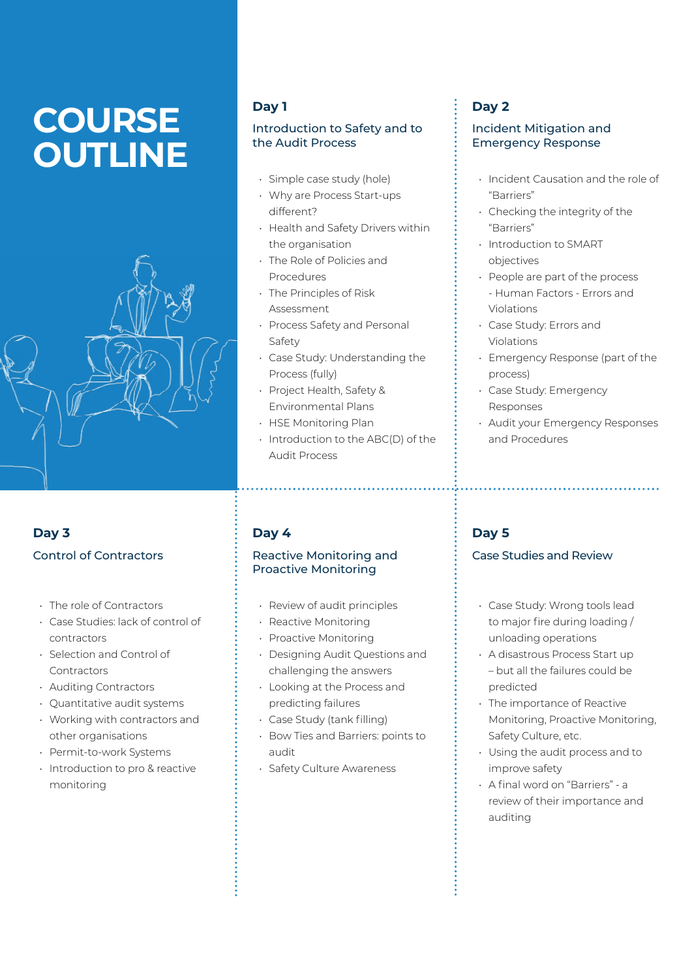# **COURSE OUTLINE**



## **Day 3** Control of Contractors

- The role of Contractors
- Case Studies: lack of control of contractors
- Selection and Control of **Contractors**
- Auditing Contractors
- Quantitative audit systems
- Working with contractors and other organisations
- Permit-to-work Systems
- Introduction to pro & reactive monitoring

#### **Day 1**

#### Introduction to Safety and to the Audit Process

- Simple case study (hole)
- Why are Process Start-ups different?
- Health and Safety Drivers within the organisation
- The Role of Policies and Procedures
- The Principles of Risk Assessment
- Process Safety and Personal Safety
- Case Study: Understanding the Process (fully)
- Project Health, Safety & Environmental Plans
- HSE Monitoring Plan
- Introduction to the ABC(D) of the Audit Process

## **Day 4**

#### Reactive Monitoring and Proactive Monitoring

- Review of audit principles
- Reactive Monitoring
- Proactive Monitoring
- Designing Audit Questions and challenging the answers
- Looking at the Process and
- predicting failures • Case Study (tank filling)
- Bow Ties and Barriers: points to
	- audit
- Safety Culture Awareness

## **Day 2**

#### Incident Mitigation and Emergency Response

- Incident Causation and the role of "Barriers"
- Checking the integrity of the "Barriers"
- Introduction to SMART objectives
- People are part of the process - Human Factors - Errors and Violations
- Case Study: Errors and Violations
- Emergency Response (part of the process)
- Case Study: Emergency Responses
- Audit your Emergency Responses and Procedures

## **Day 5**

#### Case Studies and Review

- Case Study: Wrong tools lead to major fire during loading / unloading operations
- A disastrous Process Start up – but all the failures could be predicted
- The importance of Reactive Monitoring, Proactive Monitoring, Safety Culture, etc.
- Using the audit process and to improve safety
- A final word on "Barriers" a review of their importance and auditing